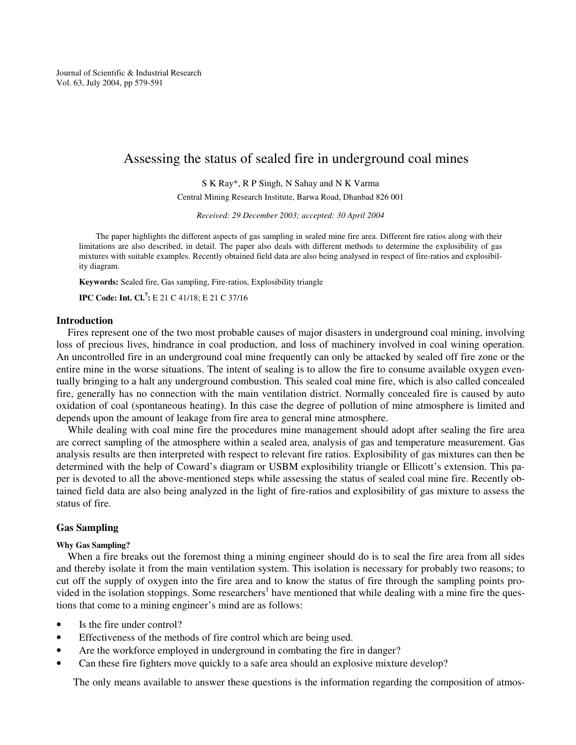Journal of Scientific & Industrial Research Vol. 63, July 2004, pp 579-591

# Assessing the status of sealed fire in underground coal mines

S K Ray\*, R P Singh, N Sahay and N K Varma

Central Mining Research Institute, Barwa Road, Dhanbad 826 001

*Received: 29 December 2003; accepted: 30 April 2004*

The paper highlights the different aspects of gas sampling in sealed mine fire area. Different fire ratios along with their limitations are also described, in detail. The paper also deals with different methods to determine the explosibility of gas mixtures with suitable examples. Recently obtained field data are also being analysed in respect of fire-ratios and explosibility diagram.

**Keywords:** Sealed fire, Gas sampling, Fire-ratios, Explosibility triangle

**IPC Code: Int. Cl.<sup>7</sup> :** E 21 C 41/18; E 21 C 37/16

## **Introduction**

Fires represent one of the two most probable causes of major disasters in underground coal mining, involving loss of precious lives, hindrance in coal production, and loss of machinery involved in coal wining operation. An uncontrolled fire in an underground coal mine frequently can only be attacked by sealed off fire zone or the entire mine in the worse situations. The intent of sealing is to allow the fire to consume available oxygen eventually bringing to a halt any underground combustion. This sealed coal mine fire, which is also called concealed fire, generally has no connection with the main ventilation district. Normally concealed fire is caused by auto oxidation of coal (spontaneous heating). In this case the degree of pollution of mine atmosphere is limited and depends upon the amount of leakage from fire area to general mine atmosphere.

While dealing with coal mine fire the procedures mine management should adopt after sealing the fire area are correct sampling of the atmosphere within a sealed area, analysis of gas and temperature measurement. Gas analysis results are then interpreted with respect to relevant fire ratios. Explosibility of gas mixtures can then be determined with the help of Coward's diagram or USBM explosibility triangle or Ellicott's extension. This paper is devoted to all the above-mentioned steps while assessing the status of sealed coal mine fire. Recently obtained field data are also being analyzed in the light of fire-ratios and explosibility of gas mixture to assess the status of fire.

## **Gas Sampling**

## **Why Gas Sampling?**

When a fire breaks out the foremost thing a mining engineer should do is to seal the fire area from all sides and thereby isolate it from the main ventilation system. This isolation is necessary for probably two reasons; to cut off the supply of oxygen into the fire area and to know the status of fire through the sampling points provided in the isolation stoppings. Some researchers<sup>1</sup> have mentioned that while dealing with a mine fire the questions that come to a mining engineer's mind are as follows:

- Is the fire under control?
- Effectiveness of the methods of fire control which are being used.
- Are the workforce employed in underground in combating the fire in danger?
- Can these fire fighters move quickly to a safe area should an explosive mixture develop?

The only means available to answer these questions is the information regarding the composition of atmos-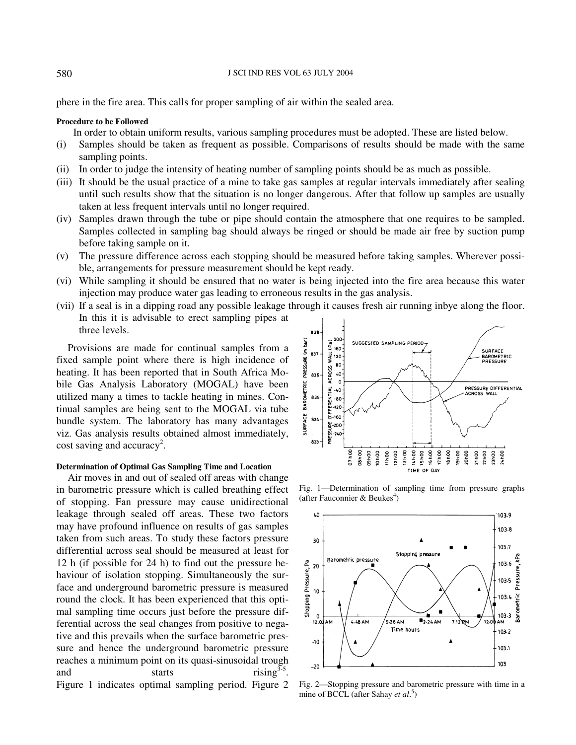phere in the fire area. This calls for proper sampling of air within the sealed area.

#### **Procedure to be Followed**

In order to obtain uniform results, various sampling procedures must be adopted. These are listed below.

- (i) Samples should be taken as frequent as possible. Comparisons of results should be made with the same sampling points.
- (ii) In order to judge the intensity of heating number of sampling points should be as much as possible.
- (iii) It should be the usual practice of a mine to take gas samples at regular intervals immediately after sealing until such results show that the situation is no longer dangerous. After that follow up samples are usually taken at less frequent intervals until no longer required.
- (iv) Samples drawn through the tube or pipe should contain the atmosphere that one requires to be sampled. Samples collected in sampling bag should always be ringed or should be made air free by suction pump before taking sample on it.
- (v) The pressure difference across each stopping should be measured before taking samples. Wherever possible, arrangements for pressure measurement should be kept ready.
- (vi) While sampling it should be ensured that no water is being injected into the fire area because this water injection may produce water gas leading to erroneous results in the gas analysis.
- (vii) If a seal is in a dipping road any possible leakage through it causes fresh air running inbye along the floor. In this it is advisable to erect sampling pipes at three levels.

Provisions are made for continual samples from a fixed sample point where there is high incidence of heating. It has been reported that in South Africa Mobile Gas Analysis Laboratory (MOGAL) have been utilized many a times to tackle heating in mines. Continual samples are being sent to the MOGAL via tube bundle system. The laboratory has many advantages viz. Gas analysis results obtained almost immediately, cost saving and accuracy<sup>2</sup>.

### **Determination of Optimal Gas Sampling Time and Location**

Air moves in and out of sealed off areas with change in barometric pressure which is called breathing effect of stopping. Fan pressure may cause unidirectional leakage through sealed off areas. These two factors may have profound influence on results of gas samples taken from such areas. To study these factors pressure differential across seal should be measured at least for 12 h (if possible for 24 h) to find out the pressure behaviour of isolation stopping. Simultaneously the surface and underground barometric pressure is measured round the clock. It has been experienced that this optimal sampling time occurs just before the pressure differential across the seal changes from positive to negative and this prevails when the surface barometric pressure and hence the underground barometric pressure reaches a minimum point on its quasi-sinusoidal trough and starts rising<sup>3-5</sup>. Figure 1 indicates optimal sampling period. Figure 2



Fig. 1—Determination of sampling time from pressure graphs (after Fauconnier & Beukes<sup>4</sup>)



Fig. 2—Stopping pressure and barometric pressure with time in a mine of BCCL (after Sahay *et al*. 5 )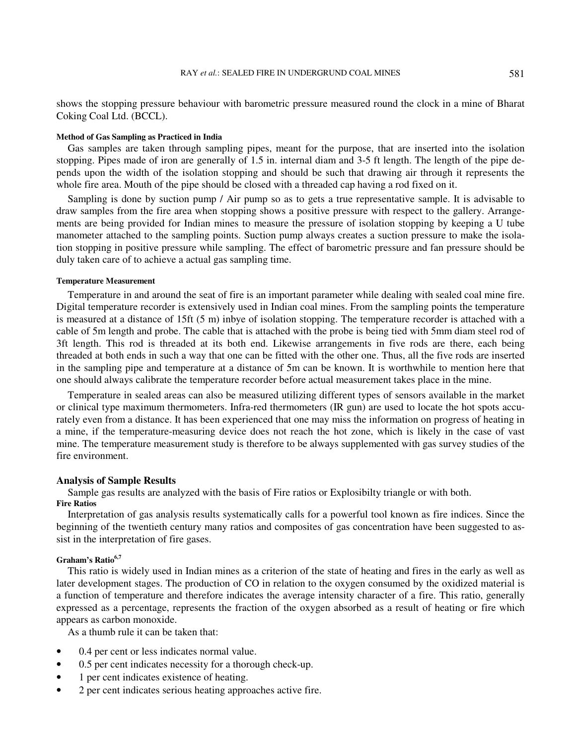shows the stopping pressure behaviour with barometric pressure measured round the clock in a mine of Bharat Coking Coal Ltd. (BCCL).

#### **Method of Gas Sampling as Practiced in India**

Gas samples are taken through sampling pipes, meant for the purpose, that are inserted into the isolation stopping. Pipes made of iron are generally of 1.5 in. internal diam and 3-5 ft length. The length of the pipe depends upon the width of the isolation stopping and should be such that drawing air through it represents the whole fire area. Mouth of the pipe should be closed with a threaded cap having a rod fixed on it.

Sampling is done by suction pump / Air pump so as to gets a true representative sample. It is advisable to draw samples from the fire area when stopping shows a positive pressure with respect to the gallery. Arrangements are being provided for Indian mines to measure the pressure of isolation stopping by keeping a U tube manometer attached to the sampling points. Suction pump always creates a suction pressure to make the isolation stopping in positive pressure while sampling. The effect of barometric pressure and fan pressure should be duly taken care of to achieve a actual gas sampling time.

### **Temperature Measurement**

Temperature in and around the seat of fire is an important parameter while dealing with sealed coal mine fire. Digital temperature recorder is extensively used in Indian coal mines. From the sampling points the temperature is measured at a distance of 15ft (5 m) inbye of isolation stopping. The temperature recorder is attached with a cable of 5m length and probe. The cable that is attached with the probe is being tied with 5mm diam steel rod of 3ft length. This rod is threaded at its both end. Likewise arrangements in five rods are there, each being threaded at both ends in such a way that one can be fitted with the other one. Thus, all the five rods are inserted in the sampling pipe and temperature at a distance of 5m can be known. It is worthwhile to mention here that one should always calibrate the temperature recorder before actual measurement takes place in the mine.

Temperature in sealed areas can also be measured utilizing different types of sensors available in the market or clinical type maximum thermometers. Infra-red thermometers (IR gun) are used to locate the hot spots accurately even from a distance. It has been experienced that one may miss the information on progress of heating in a mine, if the temperature-measuring device does not reach the hot zone, which is likely in the case of vast mine. The temperature measurement study is therefore to be always supplemented with gas survey studies of the fire environment.

## **Analysis of Sample Results**

Sample gas results are analyzed with the basis of Fire ratios or Explosibilty triangle or with both. **Fire Ratios** 

Interpretation of gas analysis results systematically calls for a powerful tool known as fire indices. Since the beginning of the twentieth century many ratios and composites of gas concentration have been suggested to assist in the interpretation of fire gases.

### **Graham's Ratio6,7**

This ratio is widely used in Indian mines as a criterion of the state of heating and fires in the early as well as later development stages. The production of CO in relation to the oxygen consumed by the oxidized material is a function of temperature and therefore indicates the average intensity character of a fire. This ratio, generally expressed as a percentage, represents the fraction of the oxygen absorbed as a result of heating or fire which appears as carbon monoxide.

As a thumb rule it can be taken that:

- 0.4 per cent or less indicates normal value.
- 0.5 per cent indicates necessity for a thorough check-up.
- 1 per cent indicates existence of heating.
- 2 per cent indicates serious heating approaches active fire.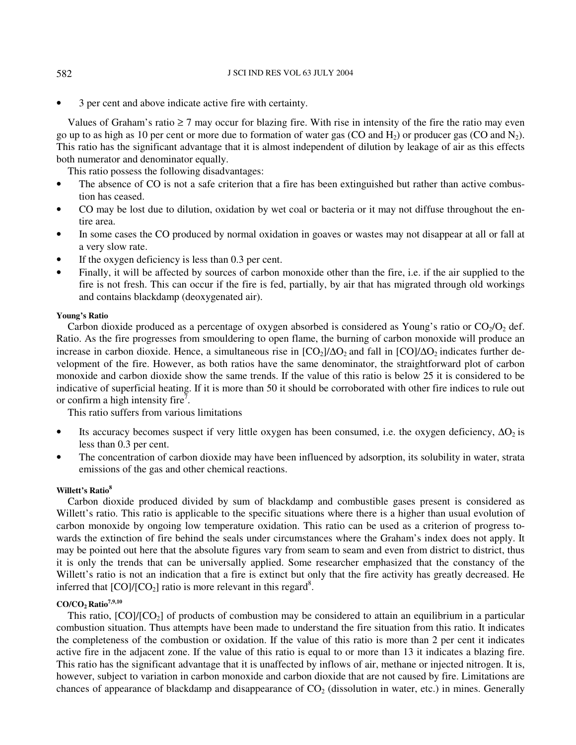• 3 per cent and above indicate active fire with certainty.

Values of Graham's ratio  $\geq 7$  may occur for blazing fire. With rise in intensity of the fire the ratio may even go up to as high as 10 per cent or more due to formation of water gas (CO and  $H_2$ ) or producer gas (CO and  $N_2$ ). This ratio has the significant advantage that it is almost independent of dilution by leakage of air as this effects both numerator and denominator equally.

This ratio possess the following disadvantages:

- The absence of CO is not a safe criterion that a fire has been extinguished but rather than active combustion has ceased.
- CO may be lost due to dilution, oxidation by wet coal or bacteria or it may not diffuse throughout the entire area.
- In some cases the CO produced by normal oxidation in goaves or wastes may not disappear at all or fall at a very slow rate.
- If the oxygen deficiency is less than  $0.3$  per cent.
- Finally, it will be affected by sources of carbon monoxide other than the fire, i.e. if the air supplied to the fire is not fresh. This can occur if the fire is fed, partially, by air that has migrated through old workings and contains blackdamp (deoxygenated air).

## **Young's Ratio**

Carbon dioxide produced as a percentage of oxygen absorbed is considered as Young's ratio or  $CO<sub>2</sub>/O<sub>2</sub>$  def. Ratio. As the fire progresses from smouldering to open flame, the burning of carbon monoxide will produce an increase in carbon dioxide. Hence, a simultaneous rise in  $[CO_2]/\Delta O_2$  and fall in  $[CO]/\Delta O_2$  indicates further development of the fire. However, as both ratios have the same denominator, the straightforward plot of carbon monoxide and carbon dioxide show the same trends. If the value of this ratio is below 25 it is considered to be indicative of superficial heating. If it is more than 50 it should be corroborated with other fire indices to rule out or confirm a high intensity fire<sup>7</sup>.

This ratio suffers from various limitations

- Its accuracy becomes suspect if very little oxygen has been consumed, i.e. the oxygen deficiency,  $\Delta O_2$  is less than 0.3 per cent.
- The concentration of carbon dioxide may have been influenced by adsorption, its solubility in water, strata emissions of the gas and other chemical reactions.

## **Willett's Ratio<sup>8</sup>**

Carbon dioxide produced divided by sum of blackdamp and combustible gases present is considered as Willett's ratio. This ratio is applicable to the specific situations where there is a higher than usual evolution of carbon monoxide by ongoing low temperature oxidation. This ratio can be used as a criterion of progress towards the extinction of fire behind the seals under circumstances where the Graham's index does not apply. It may be pointed out here that the absolute figures vary from seam to seam and even from district to district, thus it is only the trends that can be universally applied. Some researcher emphasized that the constancy of the Willett's ratio is not an indication that a fire is extinct but only that the fire activity has greatly decreased. He inferred that  $[CO]/[CO_2]$  ratio is more relevant in this regard<sup>8</sup>.

## **CO/CO2 Ratio7,9,10**

This ratio,  $[CO]/[CO_2]$  of products of combustion may be considered to attain an equilibrium in a particular combustion situation. Thus attempts have been made to understand the fire situation from this ratio. It indicates the completeness of the combustion or oxidation. If the value of this ratio is more than 2 per cent it indicates active fire in the adjacent zone. If the value of this ratio is equal to or more than 13 it indicates a blazing fire. This ratio has the significant advantage that it is unaffected by inflows of air, methane or injected nitrogen. It is, however, subject to variation in carbon monoxide and carbon dioxide that are not caused by fire. Limitations are chances of appearance of blackdamp and disappearance of  $CO<sub>2</sub>$  (dissolution in water, etc.) in mines. Generally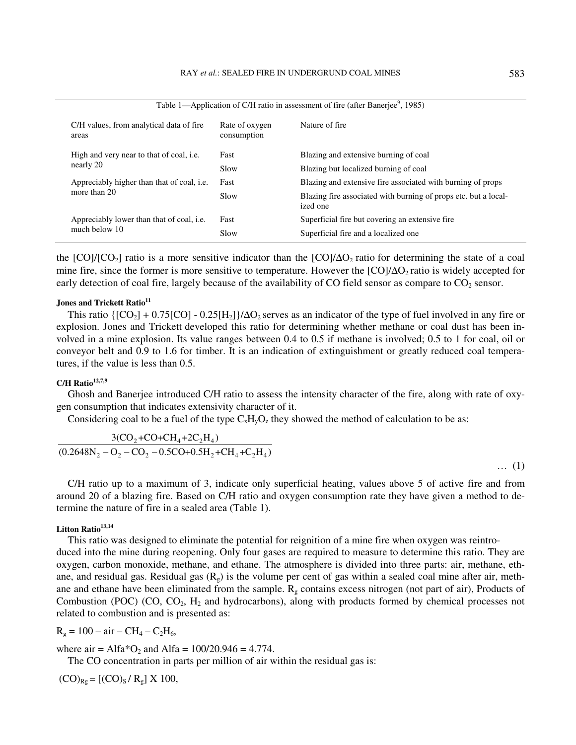| Table 1—Application of C/H ratio in assessment of fire (after Banerjee <sup>9</sup> , 1985) |                               |                                                                             |  |  |  |  |  |  |
|---------------------------------------------------------------------------------------------|-------------------------------|-----------------------------------------------------------------------------|--|--|--|--|--|--|
| C/H values, from analytical data of fire<br>areas                                           | Rate of oxygen<br>consumption | Nature of fire                                                              |  |  |  |  |  |  |
| High and very near to that of coal, <i>i.e.</i>                                             | Fast                          | Blazing and extensive burning of coal                                       |  |  |  |  |  |  |
| nearly 20                                                                                   | Slow                          | Blazing but localized burning of coal                                       |  |  |  |  |  |  |
| Appreciably higher than that of coal, <i>i.e.</i>                                           | Fast                          | Blazing and extensive fire associated with burning of props                 |  |  |  |  |  |  |
| more than 20                                                                                | Slow                          | Blazing fire associated with burning of props etc. but a local-<br>ized one |  |  |  |  |  |  |
| Appreciably lower than that of coal, <i>i.e.</i>                                            | Fast                          | Superficial fire but covering an extensive fire.                            |  |  |  |  |  |  |
| much below 10                                                                               | Slow                          | Superficial fire and a localized one                                        |  |  |  |  |  |  |

the  $[CO]/[CO_2]$  ratio is a more sensitive indicator than the  $[CO]/\Delta O_2$  ratio for determining the state of a coal mine fire, since the former is more sensitive to temperature. However the  $[CO]/\Delta O_2$  ratio is widely accepted for early detection of coal fire, largely because of the availability of CO field sensor as compare to  $CO<sub>2</sub>$  sensor.

#### **Jones and Trickett Ratio<sup>11</sup>**

This ratio  $\{[CO_2] + 0.75[CO] - 0.25[H_2]\}/\Delta O_2$  serves as an indicator of the type of fuel involved in any fire or explosion. Jones and Trickett developed this ratio for determining whether methane or coal dust has been involved in a mine explosion. Its value ranges between 0.4 to 0.5 if methane is involved; 0.5 to 1 for coal, oil or conveyor belt and 0.9 to 1.6 for timber. It is an indication of extinguishment or greatly reduced coal temperatures, if the value is less than 0.5.

## **C/H Ratio12,7,9**

Ghosh and Banerjee introduced C/H ratio to assess the intensity character of the fire, along with rate of oxygen consumption that indicates extensivity character of it.

Considering coal to be a fuel of the type  $C_xH_yO_z$  they showed the method of calculation to be as:

$$
\frac{3(CO_2 + CO + CH_4 + 2C_2H_4)}{(0.2648N_2 - O_2 - CO_2 - 0.5CO + 0.5H_2 + CH_4 + C_2H_4)}
$$

… (1)

C/H ratio up to a maximum of 3, indicate only superficial heating, values above 5 of active fire and from around 20 of a blazing fire. Based on C/H ratio and oxygen consumption rate they have given a method to determine the nature of fire in a sealed area (Table 1).

## **Litton Ratio13,14**

This ratio was designed to eliminate the potential for reignition of a mine fire when oxygen was reintro-

duced into the mine during reopening. Only four gases are required to measure to determine this ratio. They are oxygen, carbon monoxide, methane, and ethane. The atmosphere is divided into three parts: air, methane, ethane, and residual gas. Residual gas  $(R_g)$  is the volume per cent of gas within a sealed coal mine after air, methane and ethane have been eliminated from the sample.  $R<sub>g</sub>$  contains excess nitrogen (not part of air), Products of Combustion (POC) (CO,  $CO<sub>2</sub>$ , H<sub>2</sub> and hydrocarbons), along with products formed by chemical processes not related to combustion and is presented as:

$$
R_g = 100 - air - CH_4 - C_2H_6,
$$

where  $air = Alfa*O_2$  and  $Alfa = 100/20.946 = 4.774$ .

The CO concentration in parts per million of air within the residual gas is:

 $(CO)_{Rg} = [(CO)_S / R_g] \times 100,$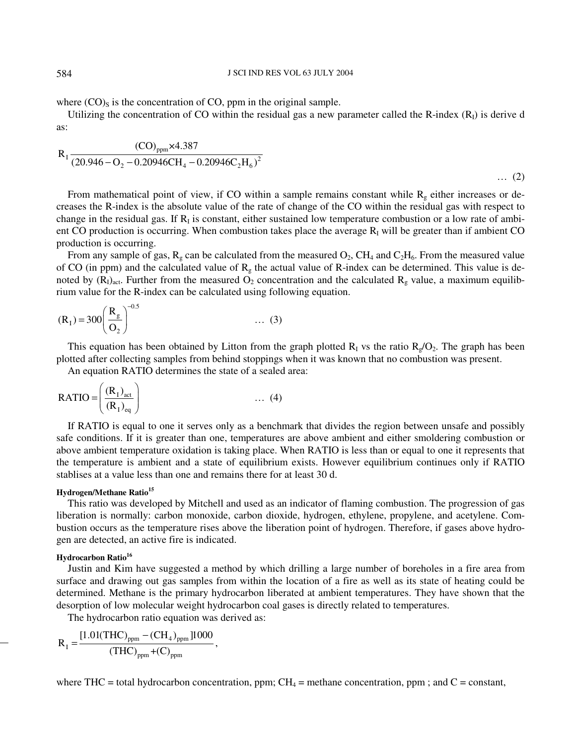where  $(CO)$ <sub>S</sub> is the concentration of CO, ppm in the original sample.

Utilizing the concentration of CO within the residual gas a new parameter called the R-index  $(R<sub>1</sub>)$  is derive d as:

$$
R_1 \frac{(CO)_{ppm} \times 4.387}{(20.946 - O_2 - 0.20946CH_4 - 0.20946C_2H_6)^2}
$$
 ... (2)

From mathematical point of view, if CO within a sample remains constant while  $R_g$  either increases or decreases the R-index is the absolute value of the rate of change of the CO within the residual gas with respect to change in the residual gas. If  $R<sub>I</sub>$  is constant, either sustained low temperature combustion or a low rate of ambient CO production is occurring. When combustion takes place the average  $R<sub>I</sub>$  will be greater than if ambient CO production is occurring.

From any sample of gas,  $R_g$  can be calculated from the measured  $O_2$ , CH<sub>4</sub> and C<sub>2</sub>H<sub>6</sub>. From the measured value of CO (in ppm) and the calculated value of  $R_g$  the actual value of R-index can be determined. This value is denoted by  $(R<sub>I</sub>)<sub>act</sub>$ . Further from the measured O<sub>2</sub> concentration and the calculated  $R<sub>g</sub>$  value, a maximum equilibrium value for the R-index can be calculated using following equation.

$$
(R_1) = 300 \left(\frac{R_g}{Q_2}\right)^{-0.5} \qquad \qquad \dots (3)
$$

This equation has been obtained by Litton from the graph plotted  $R_I$  vs the ratio  $R_g/O_2$ . The graph has been plotted after collecting samples from behind stoppings when it was known that no combustion was present.

An equation RATIO determines the state of a sealed area:

$$
RATIO = \left(\frac{(R_1)_{act}}{(R_1)_{eq}}\right) \qquad \qquad \dots \tag{4}
$$

If RATIO is equal to one it serves only as a benchmark that divides the region between unsafe and possibly safe conditions. If it is greater than one, temperatures are above ambient and either smoldering combustion or above ambient temperature oxidation is taking place. When RATIO is less than or equal to one it represents that the temperature is ambient and a state of equilibrium exists. However equilibrium continues only if RATIO stablises at a value less than one and remains there for at least 30 d.

## **Hydrogen/Methane Ratio<sup>15</sup>**

This ratio was developed by Mitchell and used as an indicator of flaming combustion. The progression of gas liberation is normally: carbon monoxide, carbon dioxide, hydrogen, ethylene, propylene, and acetylene. Combustion occurs as the temperature rises above the liberation point of hydrogen. Therefore, if gases above hydrogen are detected, an active fire is indicated.

## **Hydrocarbon Ratio<sup>16</sup>**

Justin and Kim have suggested a method by which drilling a large number of boreholes in a fire area from surface and drawing out gas samples from within the location of a fire as well as its state of heating could be determined. Methane is the primary hydrocarbon liberated at ambient temperatures. They have shown that the desorption of low molecular weight hydrocarbon coal gases is directly related to temperatures.

The hydrocarbon ratio equation was derived as:

$$
R_{I} = \frac{[1.01(THC)_{ppm} - (CH_4)_{ppm} ]1000}{(THC)_{ppm} + (C)_{ppm}},
$$

where THC = total hydrocarbon concentration, ppm;  $CH_4$  = methane concentration, ppm; and C = constant,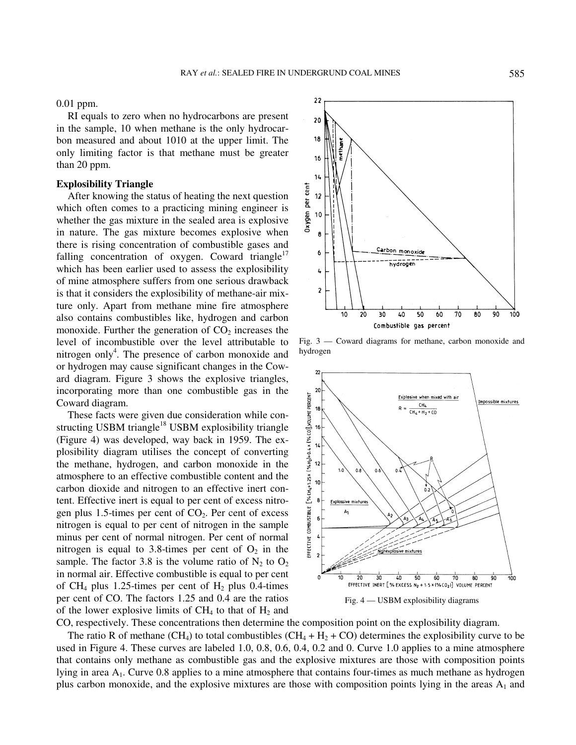0.01 ppm.

RI equals to zero when no hydrocarbons are present in the sample, 10 when methane is the only hydrocarbon measured and about 1010 at the upper limit. The only limiting factor is that methane must be greater than 20 ppm.

#### **Explosibility Triangle**

After knowing the status of heating the next question which often comes to a practicing mining engineer is whether the gas mixture in the sealed area is explosive in nature. The gas mixture becomes explosive when there is rising concentration of combustible gases and falling concentration of oxygen. Coward triangle<sup>17</sup> which has been earlier used to assess the explosibility of mine atmosphere suffers from one serious drawback is that it considers the explosibility of methane-air mixture only. Apart from methane mine fire atmosphere also contains combustibles like, hydrogen and carbon monoxide. Further the generation of  $CO<sub>2</sub>$  increases the level of incombustible over the level attributable to nitrogen only<sup>4</sup>. The presence of carbon monoxide and or hydrogen may cause significant changes in the Coward diagram. Figure 3 shows the explosive triangles, incorporating more than one combustible gas in the Coward diagram.

These facts were given due consideration while constructing USBM triangle<sup>18</sup> USBM explosibility triangle (Figure 4) was developed, way back in 1959. The explosibility diagram utilises the concept of converting the methane, hydrogen, and carbon monoxide in the atmosphere to an effective combustible content and the carbon dioxide and nitrogen to an effective inert content. Effective inert is equal to per cent of excess nitrogen plus 1.5-times per cent of  $CO<sub>2</sub>$ . Per cent of excess nitrogen is equal to per cent of nitrogen in the sample minus per cent of normal nitrogen. Per cent of normal nitrogen is equal to 3.8-times per cent of  $O_2$  in the sample. The factor 3.8 is the volume ratio of  $N_2$  to  $O_2$ in normal air. Effective combustible is equal to per cent of CH<sub>4</sub> plus 1.25-times per cent of H<sub>2</sub> plus 0.4-times per cent of CO. The factors 1.25 and 0.4 are the ratios of the lower explosive limits of  $CH_4$  to that of  $H_2$  and



Fig. 3 — Coward diagrams for methane, carbon monoxide and hydrogen



CO, respectively. These concentrations then determine the composition point on the explosibility diagram.

The ratio R of methane (CH<sub>4</sub>) to total combustibles (CH<sub>4</sub> + H<sub>2</sub> + CO) determines the explosibility curve to be used in Figure 4. These curves are labeled 1.0, 0.8, 0.6, 0.4, 0.2 and 0. Curve 1.0 applies to a mine atmosphere that contains only methane as combustible gas and the explosive mixtures are those with composition points lying in area A<sub>1</sub>. Curve 0.8 applies to a mine atmosphere that contains four-times as much methane as hydrogen plus carbon monoxide, and the explosive mixtures are those with composition points lying in the areas  $A_1$  and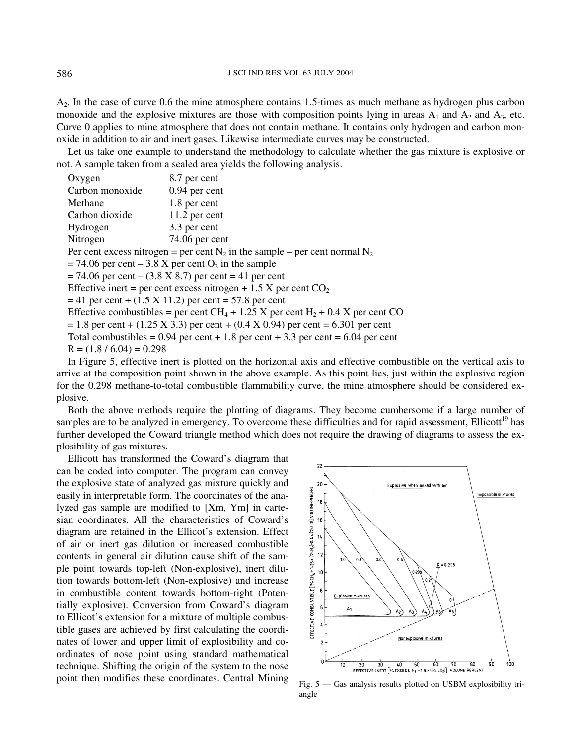A2. In the case of curve 0.6 the mine atmosphere contains 1.5-times as much methane as hydrogen plus carbon monoxide and the explosive mixtures are those with composition points lying in areas  $A_1$  and  $A_2$  and  $A_3$ , etc. Curve 0 applies to mine atmosphere that does not contain methane. It contains only hydrogen and carbon monoxide in addition to air and inert gases. Likewise intermediate curves may be constructed.

Let us take one example to understand the methodology to calculate whether the gas mixture is explosive or not. A sample taken from a sealed area yields the following analysis.

| Oxygen                       | 8.7 per cent                                                                                           |  |  |  |  |  |  |
|------------------------------|--------------------------------------------------------------------------------------------------------|--|--|--|--|--|--|
| Carbon monoxide              | $0.94$ per cent                                                                                        |  |  |  |  |  |  |
| Methane                      | 1.8 per cent                                                                                           |  |  |  |  |  |  |
| Carbon dioxide               | $11.2$ per cent                                                                                        |  |  |  |  |  |  |
| Hydrogen                     | 3.3 per cent                                                                                           |  |  |  |  |  |  |
| $74.06$ per cent<br>Nitrogen |                                                                                                        |  |  |  |  |  |  |
|                              | Per cent excess nitrogen = per cent $N_2$ in the sample – per cent normal $N_2$                        |  |  |  |  |  |  |
|                              | $= 74.06$ per cent $- 3.8$ X per cent $O_2$ in the sample                                              |  |  |  |  |  |  |
|                              | $= 74.06$ per cent – $(3.8 \text{ X } 8.7)$ per cent = 41 per cent                                     |  |  |  |  |  |  |
|                              | Effective inert = per cent excess nitrogen + 1.5 X per cent $CO2$                                      |  |  |  |  |  |  |
|                              | $=$ 41 per cent + (1.5 X 11.2) per cent = 57.8 per cent                                                |  |  |  |  |  |  |
|                              | Effective combustibles = per cent CH <sub>4</sub> + 1.25 X per cent H <sub>2</sub> + 0.4 X per cent CO |  |  |  |  |  |  |
|                              | $= 1.8$ per cent + (1.25 X 3.3) per cent + (0.4 X 0.94) per cent = 6.301 per cent                      |  |  |  |  |  |  |
|                              | Total combustibles = $0.94$ per cent + 1.8 per cent + 3.3 per cent = $6.04$ per cent                   |  |  |  |  |  |  |
| $R = (1.8 / 6.04) = 0.298$   |                                                                                                        |  |  |  |  |  |  |
|                              |                                                                                                        |  |  |  |  |  |  |

In Figure 5, effective inert is plotted on the horizontal axis and effective combustible on the vertical axis to arrive at the composition point shown in the above example. As this point lies, just within the explosive region for the 0.298 methane-to-total combustible flammability curve, the mine atmosphere should be considered explosive.

Both the above methods require the plotting of diagrams. They become cumbersome if a large number of samples are to be analyzed in emergency. To overcome these difficulties and for rapid assessment, Ellicott<sup>19</sup> has further developed the Coward triangle method which does not require the drawing of diagrams to assess the explosibility of gas mixtures.

Ellicott has transformed the Coward's diagram that can be coded into computer. The program can convey the explosive state of analyzed gas mixture quickly and easily in interpretable form. The coordinates of the analyzed gas sample are modified to [Xm, Ym] in cartesian coordinates. All the characteristics of Coward's diagram are retained in the Ellicot's extension. Effect of air or inert gas dilution or increased combustible contents in general air dilution cause shift of the sample point towards top-left (Non-explosive), inert dilution towards bottom-left (Non-explosive) and increase in combustible content towards bottom-right (Potentially explosive). Conversion from Coward's diagram to Ellicot's extension for a mixture of multiple combustible gases are achieved by first calculating the coordinates of lower and upper limit of explosibility and coordinates of nose point using standard mathematical technique. Shifting the origin of the system to the nose point then modifies these coordinates. Central Mining Fig. 5 — Gas analysis results plotted on USBM explosibility tri-



angle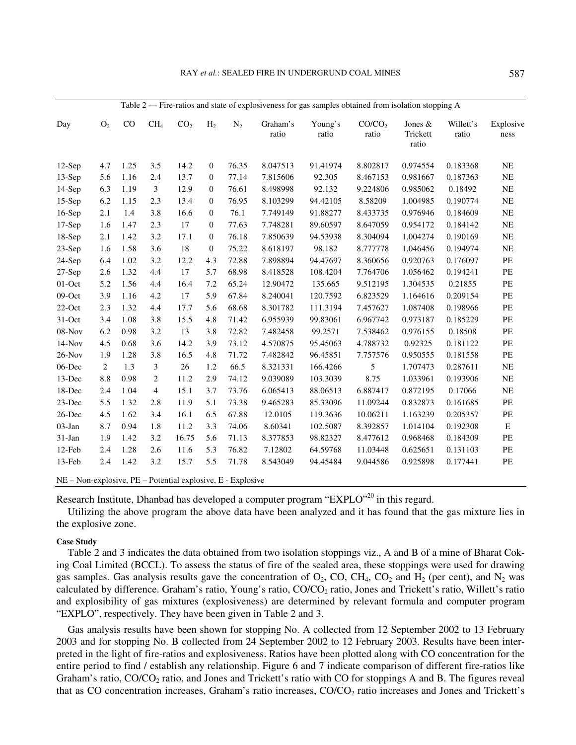| Day       | O <sub>2</sub> | CO   | CH <sub>4</sub> | CO <sub>2</sub> | H <sub>2</sub>   | $N_2$ | Graham's<br>ratio | Young's<br>ratio | CO/CO <sub>2</sub><br>ratio | Jones &<br>Trickett<br>ratio | Willett's<br>ratio | Explosive<br>ness                     |
|-----------|----------------|------|-----------------|-----------------|------------------|-------|-------------------|------------------|-----------------------------|------------------------------|--------------------|---------------------------------------|
| $12-Sep$  | 4.7            | 1.25 | 3.5             | 14.2            | $\boldsymbol{0}$ | 76.35 | 8.047513          | 91.41974         | 8.802817                    | 0.974554                     | 0.183368           | NE                                    |
| $13-Sep$  | 5.6            | 1.16 | 2.4             | 13.7            | $\mathbf{0}$     | 77.14 | 7.815606          | 92.305           | 8.467153                    | 0.981667                     | 0.187363           | $\rm NE$                              |
| $14-Sep$  | 6.3            | 1.19 | 3               | 12.9            | $\mathbf{0}$     | 76.61 | 8.498998          | 92.132           | 9.224806                    | 0.985062                     | 0.18492            | <b>NE</b>                             |
| $15-Sep$  | 6.2            | 1.15 | 2.3             | 13.4            | $\mathbf{0}$     | 76.95 | 8.103299          | 94.42105         | 8.58209                     | 1.004985                     | 0.190774           | NE                                    |
| $16-Sep$  | 2.1            | 1.4  | 3.8             | 16.6            | $\mathbf{0}$     | 76.1  | 7.749149          | 91.88277         | 8.433735                    | 0.976946                     | 0.184609           | $\rm NE$                              |
| $17-Sep$  | 1.6            | 1.47 | 2.3             | 17              | $\mathbf{0}$     | 77.63 | 7.748281          | 89.60597         | 8.647059                    | 0.954172                     | 0.184142           | $\rm NE$                              |
| $18-Sep$  | 2.1            | 1.42 | 3.2             | 17.1            | $\mathbf{0}$     | 76.18 | 7.850639          | 94.53938         | 8.304094                    | 1.004274                     | 0.190169           | NE                                    |
| 23-Sep    | 1.6            | 1.58 | 3.6             | 18              | $\boldsymbol{0}$ | 75.22 | 8.618197          | 98.182           | 8.777778                    | 1.046456                     | 0.194974           | NE                                    |
| 24-Sep    | 6.4            | 1.02 | 3.2             | 12.2            | 4.3              | 72.88 | 7.898894          | 94.47697         | 8.360656                    | 0.920763                     | 0.176097           | PE                                    |
| $27-Sep$  | 2.6            | 1.32 | 4.4             | 17              | 5.7              | 68.98 | 8.418528          | 108.4204         | 7.764706                    | 1.056462                     | 0.194241           | PE                                    |
| $01$ -Oct | 5.2            | 1.56 | 4.4             | 16.4            | 7.2              | 65.24 | 12.90472          | 135.665          | 9.512195                    | 1.304535                     | 0.21855            | PE                                    |
| 09-Oct    | 3.9            | 1.16 | 4.2             | 17              | 5.9              | 67.84 | 8.240041          | 120.7592         | 6.823529                    | 1.164616                     | 0.209154           | $\ensuremath{\mathop{\text{\rm PE}}}$ |
| $22-Oct$  | 2.3            | 1.32 | 4.4             | 17.7            | 5.6              | 68.68 | 8.301782          | 111.3194         | 7.457627                    | 1.087408                     | 0.198966           | PE                                    |
| $31-Oct$  | 3.4            | 1.08 | 3.8             | 15.5            | 4.8              | 71.42 | 6.955939          | 99.83061         | 6.967742                    | 0.973187                     | 0.185229           | PE                                    |
| 08-Nov    | 6.2            | 0.98 | 3.2             | 13              | 3.8              | 72.82 | 7.482458          | 99.2571          | 7.538462                    | 0.976155                     | 0.18508            | $\ensuremath{\mathop{\text{\rm PE}}}$ |
| $14-Nov$  | 4.5            | 0.68 | 3.6             | 14.2            | 3.9              | 73.12 | 4.570875          | 95.45063         | 4.788732                    | 0.92325                      | 0.181122           | $\rm PE$                              |
| $26$ -Nov | 1.9            | 1.28 | 3.8             | 16.5            | 4.8              | 71.72 | 7.482842          | 96.45851         | 7.757576                    | 0.950555                     | 0.181558           | $\ensuremath{\mathop{\text{\rm PE}}}$ |
| 06-Dec    | $\overline{2}$ | 1.3  | 3               | 26              | 1.2              | 66.5  | 8.321331          | 166.4266         | 5                           | 1.707473                     | 0.287611           | $\rm NE$                              |
| 13-Dec    | 8.8            | 0.98 | $\overline{c}$  | 11.2            | 2.9              | 74.12 | 9.039089          | 103.3039         | 8.75                        | 1.033961                     | 0.193906           | $\rm NE$                              |
| 18-Dec    | 2.4            | 1.04 | $\overline{4}$  | 15.1            | 3.7              | 73.76 | 6.065413          | 88.06513         | 6.887417                    | 0.872195                     | 0.17066            | $\rm NE$                              |
| 23-Dec    | 5.5            | 1.32 | 2.8             | 11.9            | 5.1              | 73.38 | 9.465283          | 85.33096         | 11.09244                    | 0.832873                     | 0.161685           | PE                                    |
| 26-Dec    | 4.5            | 1.62 | 3.4             | 16.1            | 6.5              | 67.88 | 12.0105           | 119.3636         | 10.06211                    | 1.163239                     | 0.205357           | PE                                    |
| 03-Jan    | 8.7            | 0.94 | 1.8             | 11.2            | 3.3              | 74.06 | 8.60341           | 102.5087         | 8.392857                    | 1.014104                     | 0.192308           | ${\bf E}$                             |
| 31-Jan    | 1.9            | 1.42 | 3.2             | 16.75           | 5.6              | 71.13 | 8.377853          | 98.82327         | 8.477612                    | 0.968468                     | 0.184309           | $\ensuremath{\mathop{\text{\rm PE}}}$ |
| 12-Feb    | 2.4            | 1.28 | 2.6             | 11.6            | 5.3              | 76.82 | 7.12802           | 64.59768         | 11.03448                    | 0.625651                     | 0.131103           | $\ensuremath{\mathop{\text{\rm PE}}}$ |
| 13-Feb    | 2.4            | 1.42 | 3.2             | 15.7            | 5.5              | 71.78 | 8.543049          | 94.45484         | 9.044586                    | 0.925898                     | 0.177441           | $\ensuremath{\mathop{\text{\rm PE}}}$ |

Research Institute, Dhanbad has developed a computer program "EXPLO"<sup>20</sup> in this regard.

Utilizing the above program the above data have been analyzed and it has found that the gas mixture lies in the explosive zone.

## **Case Study**

Table 2 and 3 indicates the data obtained from two isolation stoppings viz., A and B of a mine of Bharat Coking Coal Limited (BCCL). To assess the status of fire of the sealed area, these stoppings were used for drawing gas samples. Gas analysis results gave the concentration of  $O_2$ , CO, CH<sub>4</sub>, CO<sub>2</sub> and H<sub>2</sub> (per cent), and N<sub>2</sub> was calculated by difference. Graham's ratio, Young's ratio, CO/CO<sub>2</sub> ratio, Jones and Trickett's ratio, Willett's ratio and explosibility of gas mixtures (explosiveness) are determined by relevant formula and computer program "EXPLO", respectively. They have been given in Table 2 and 3.

Gas analysis results have been shown for stopping No. A collected from 12 September 2002 to 13 February 2003 and for stopping No. B collected from 24 September 2002 to 12 February 2003. Results have been interpreted in the light of fire-ratios and explosiveness. Ratios have been plotted along with CO concentration for the entire period to find / establish any relationship. Figure 6 and 7 indicate comparison of different fire-ratios like Graham's ratio,  $CO/CO<sub>2</sub>$  ratio, and Jones and Trickett's ratio with CO for stoppings A and B. The figures reveal that as CO concentration increases, Graham's ratio increases, CO/CO<sub>2</sub> ratio increases and Jones and Trickett's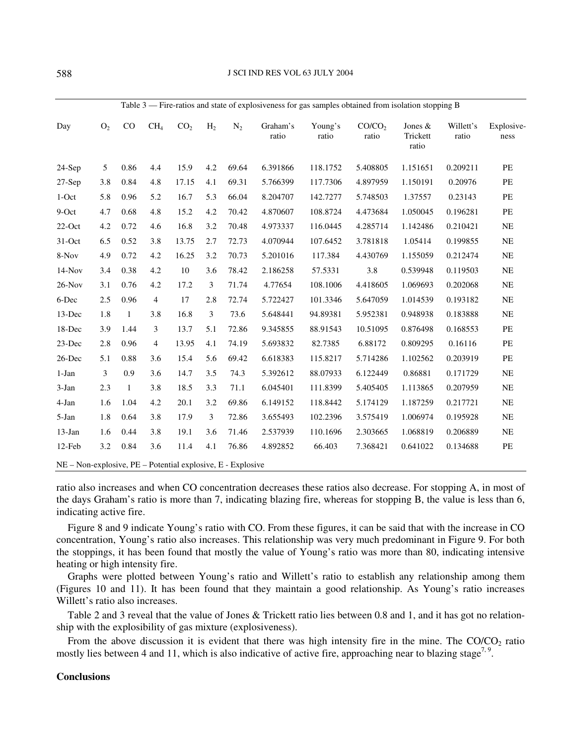| Day       | O <sub>2</sub> | CO           | CH <sub>4</sub> | CO <sub>2</sub> | H <sub>2</sub> | $N_2$ | Graham's<br>ratio | Young's<br>ratio | CO/CO <sub>2</sub><br>ratio | Jones $&$<br>Trickett<br>ratio | Willett's<br>ratio | Explosive-<br>ness |
|-----------|----------------|--------------|-----------------|-----------------|----------------|-------|-------------------|------------------|-----------------------------|--------------------------------|--------------------|--------------------|
| $24-Sep$  | 5              | 0.86         | 4.4             | 15.9            | 4.2            | 69.64 | 6.391866          | 118.1752         | 5.408805                    | 1.151651                       | 0.209211           | PE                 |
| $27-Sep$  | 3.8            | 0.84         | 4.8             | 17.15           | 4.1            | 69.31 | 5.766399          | 117.7306         | 4.897959                    | 1.150191                       | 0.20976            | PE                 |
| $1-Oct$   | 5.8            | 0.96         | 5.2             | 16.7            | 5.3            | 66.04 | 8.204707          | 142.7277         | 5.748503                    | 1.37557                        | 0.23143            | PE                 |
| 9-Oct     | 4.7            | 0.68         | 4.8             | 15.2            | 4.2            | 70.42 | 4.870607          | 108.8724         | 4.473684                    | 1.050045                       | 0.196281           | PE                 |
| $22$ -Oct | 4.2            | 0.72         | 4.6             | 16.8            | 3.2            | 70.48 | 4.973337          | 116.0445         | 4.285714                    | 1.142486                       | 0.210421           | <b>NE</b>          |
| 31-Oct    | 6.5            | 0.52         | 3.8             | 13.75           | 2.7            | 72.73 | 4.070944          | 107.6452         | 3.781818                    | 1.05414                        | 0.199855           | <b>NE</b>          |
| 8-Nov     | 4.9            | 0.72         | 4.2             | 16.25           | 3.2            | 70.73 | 5.201016          | 117.384          | 4.430769                    | 1.155059                       | 0.212474           | NE                 |
| $14-Nov$  | 3.4            | 0.38         | 4.2             | 10              | 3.6            | 78.42 | 2.186258          | 57.5331          | 3.8                         | 0.539948                       | 0.119503           | <b>NE</b>          |
| $26-Nov$  | 3.1            | 0.76         | 4.2             | 17.2            | 3              | 71.74 | 4.77654           | 108.1006         | 4.418605                    | 1.069693                       | 0.202068           | <b>NE</b>          |
| 6-Dec     | 2.5            | 0.96         | $\overline{4}$  | 17              | 2.8            | 72.74 | 5.722427          | 101.3346         | 5.647059                    | 1.014539                       | 0.193182           | <b>NE</b>          |
| 13-Dec    | 1.8            | $\mathbf{1}$ | 3.8             | 16.8            | 3              | 73.6  | 5.648441          | 94.89381         | 5.952381                    | 0.948938                       | 0.183888           | <b>NE</b>          |
| 18-Dec    | 3.9            | 1.44         | 3               | 13.7            | 5.1            | 72.86 | 9.345855          | 88.91543         | 10.51095                    | 0.876498                       | 0.168553           | PE                 |
| 23-Dec    | 2.8            | 0.96         | 4               | 13.95           | 4.1            | 74.19 | 5.693832          | 82.7385          | 6.88172                     | 0.809295                       | 0.16116            | PE                 |
| 26-Dec    | 5.1            | 0.88         | 3.6             | 15.4            | 5.6            | 69.42 | 6.618383          | 115.8217         | 5.714286                    | 1.102562                       | 0.203919           | PE                 |
| $1-Jan$   | 3              | 0.9          | 3.6             | 14.7            | 3.5            | 74.3  | 5.392612          | 88.07933         | 6.122449                    | 0.86881                        | 0.171729           | <b>NE</b>          |
| $3-Jan$   | 2.3            | $\mathbf{1}$ | 3.8             | 18.5            | 3.3            | 71.1  | 6.045401          | 111.8399         | 5.405405                    | 1.113865                       | 0.207959           | <b>NE</b>          |
| 4-Jan     | 1.6            | 1.04         | 4.2             | 20.1            | 3.2            | 69.86 | 6.149152          | 118.8442         | 5.174129                    | 1.187259                       | 0.217721           | <b>NE</b>          |
| 5-Jan     | 1.8            | 0.64         | 3.8             | 17.9            | 3              | 72.86 | 3.655493          | 102.2396         | 3.575419                    | 1.006974                       | 0.195928           | <b>NE</b>          |
| 13-Jan    | 1.6            | 0.44         | 3.8             | 19.1            | 3.6            | 71.46 | 2.537939          | 110.1696         | 2.303665                    | 1.068819                       | 0.206889           | <b>NE</b>          |
| 12-Feb    | 3.2            | 0.84         | 3.6             | 11.4            | 4.1            | 76.86 | 4.892852          | 66.403           | 7.368421                    | 0.641022                       | 0.134688           | PE                 |

ratio also increases and when CO concentration decreases these ratios also decrease. For stopping A, in most of the days Graham's ratio is more than 7, indicating blazing fire, whereas for stopping B, the value is less than 6, indicating active fire.

Figure 8 and 9 indicate Young's ratio with CO. From these figures, it can be said that with the increase in CO concentration, Young's ratio also increases. This relationship was very much predominant in Figure 9. For both the stoppings, it has been found that mostly the value of Young's ratio was more than 80, indicating intensive heating or high intensity fire.

Graphs were plotted between Young's ratio and Willett's ratio to establish any relationship among them (Figures 10 and 11). It has been found that they maintain a good relationship. As Young's ratio increases Willett's ratio also increases.

Table 2 and 3 reveal that the value of Jones & Trickett ratio lies between 0.8 and 1, and it has got no relationship with the explosibility of gas mixture (explosiveness).

From the above discussion it is evident that there was high intensity fire in the mine. The  $CO/CO<sub>2</sub>$  ratio mostly lies between 4 and 11, which is also indicative of active fire, approaching near to blazing stage<sup>7, 9</sup>.

## **Conclusions**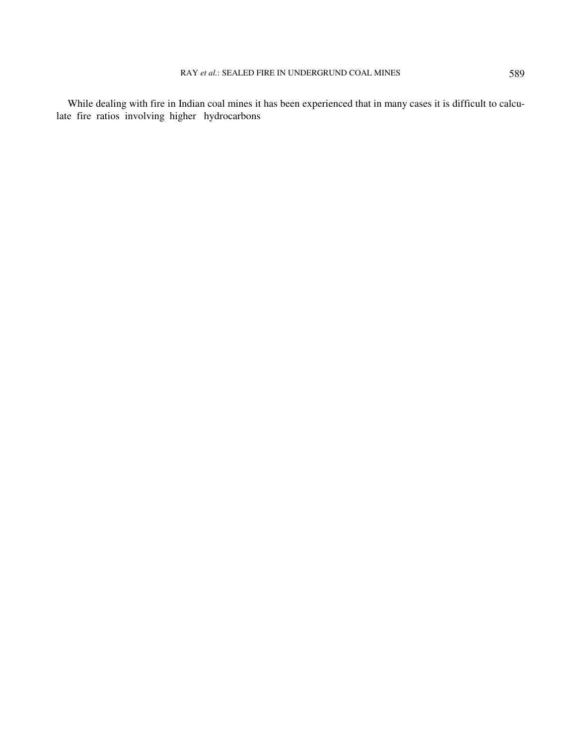While dealing with fire in Indian coal mines it has been experienced that in many cases it is difficult to calculate fire ratios involving higher hydrocarbons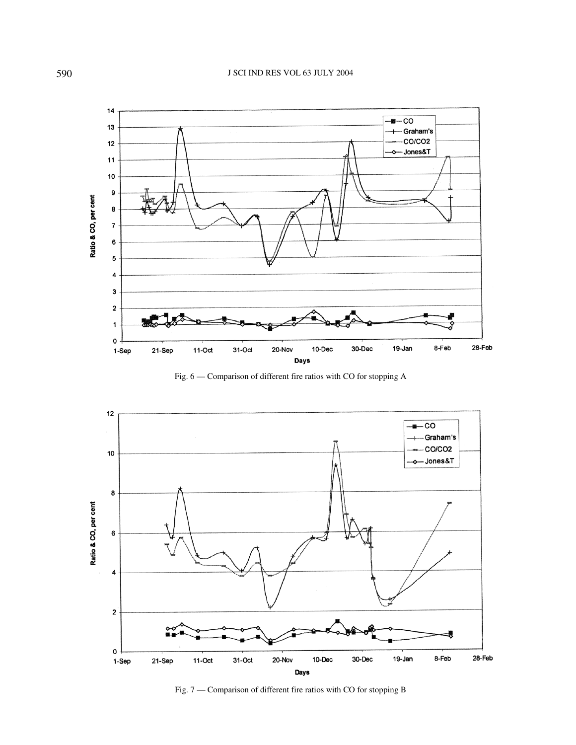

Fig. 6 — Comparison of different fire ratios with CO for stopping A



Fig. 7 — Comparison of different fire ratios with CO for stopping B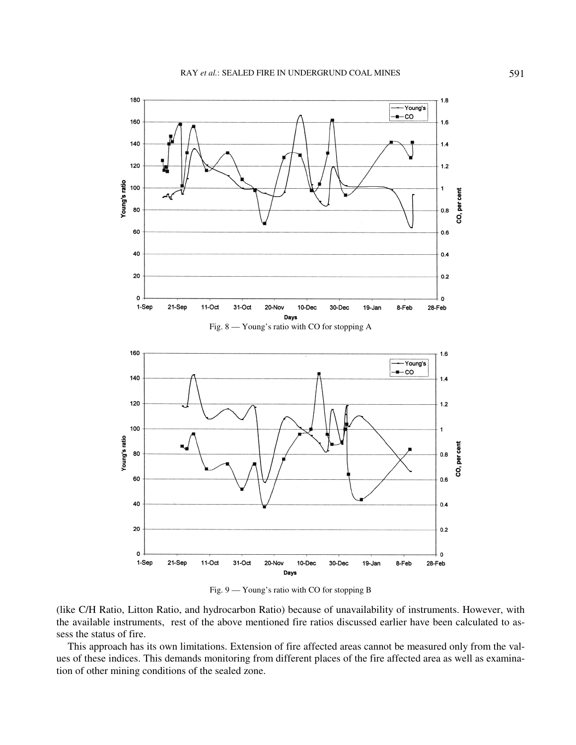

Fig. 9 — Young's ratio with CO for stopping B

(like C/H Ratio, Litton Ratio, and hydrocarbon Ratio) because of unavailability of instruments. However, with the available instruments, rest of the above mentioned fire ratios discussed earlier have been calculated to assess the status of fire.

This approach has its own limitations. Extension of fire affected areas cannot be measured only from the values of these indices. This demands monitoring from different places of the fire affected area as well as examination of other mining conditions of the sealed zone.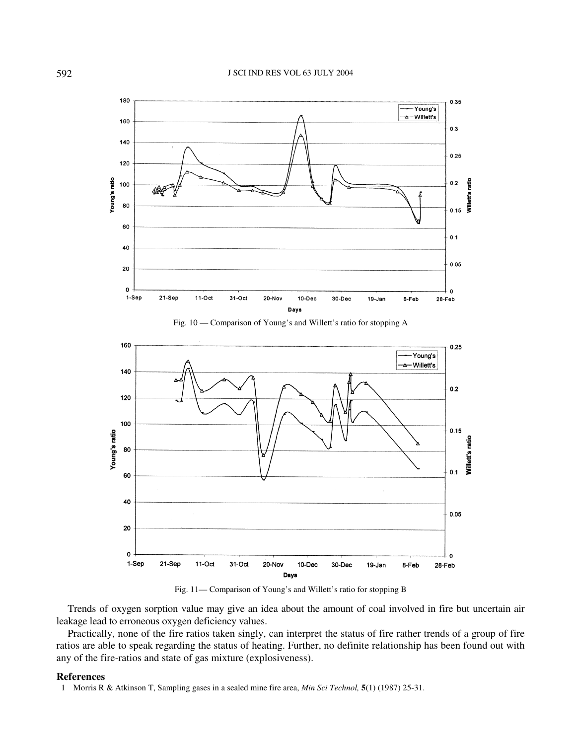





Fig. 11— Comparison of Young's and Willett's ratio for stopping B

Trends of oxygen sorption value may give an idea about the amount of coal involved in fire but uncertain air leakage lead to erroneous oxygen deficiency values.

Practically, none of the fire ratios taken singly, can interpret the status of fire rather trends of a group of fire ratios are able to speak regarding the status of heating. Further, no definite relationship has been found out with any of the fire-ratios and state of gas mixture (explosiveness).

## **References**

1 Morris R & Atkinson T, Sampling gases in a sealed mine fire area, *Min Sci Technol,* **5**(1) (1987) 25-31.